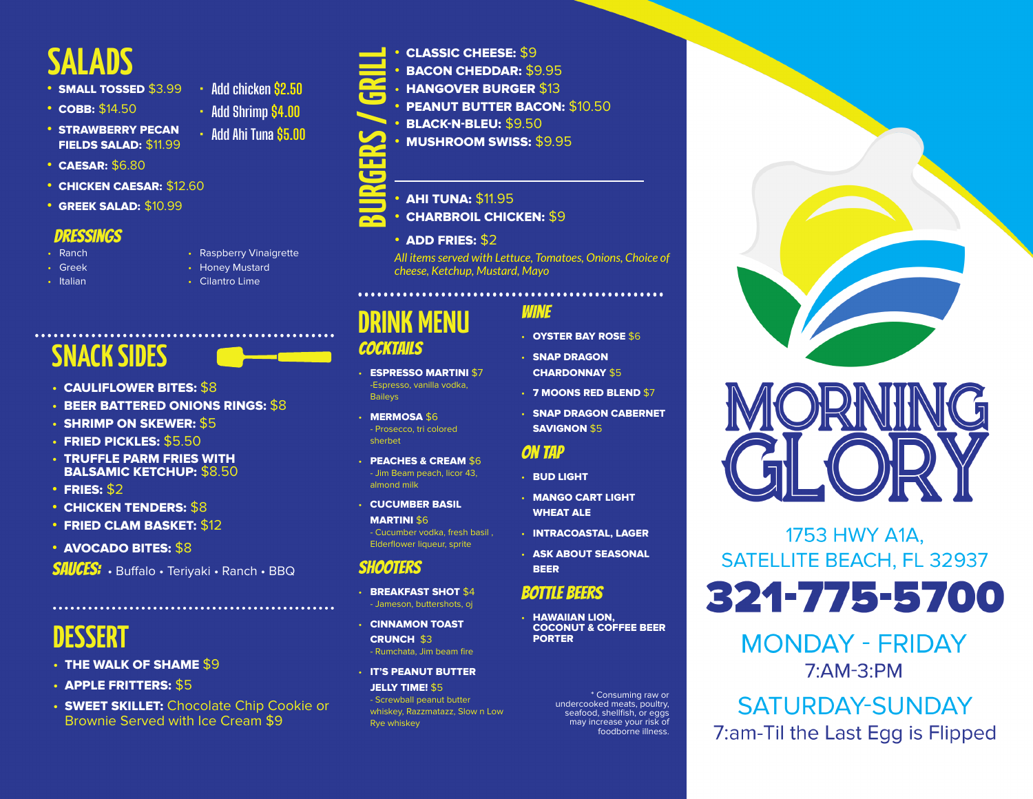# **SALADS**

- **•** SMALL TOSSED \$3.99
- **•** COBB: \$14.50
- **•** STRAWBERRY PECAN FIELDS SALAD: \$11.99
- **•** CAESAR: \$6.80
- **•** CHICKEN CAESAR: \$12.60
- **•** GREEK SALAD: \$10.99

### Dressings

- Ranch
- Greek • Italian

• Honey Mustard

• Raspberry Vinaigrette

**• Add chicken \$2.50 • Add Shrimp \$4.00 • Add Ahi Tuna \$5.00**

• Cilantro Lime

# **SNACK SIDES**

- CAULIFLOWER BITES: \$8
- BEER BATTERED ONIONS RINGS: \$8
- SHRIMP ON SKEWER: \$5
- FRIED PICKLES: \$5.50
- TRUFFLE PARM FRIES WITH BALSAMIC KETCHUP: \$8.50
- **•** FRIES: \$2
- **•** CHICKEN TENDERS: \$8
- **•** FRIED CLAM BASKET: \$12
- **•** AVOCADO BITES: \$8

SAUCES: • Buffalo • Teriyaki • Ranch • BBQ

# **DESSERT**

- THE WALK OF SHAME \$9
- APPLE FRITTERS: \$5
- SWEET SKILLET: Chocolate Chip Cookie or Brownie Served with Ice Cream \$9

- **•** CLASSIC CHEESE: \$9
- **•** BACON CHEDDAR: \$9.95
- HANGOVER BURGER \$13
- **PEANUT BUTTER BACON: \$10.50**
- **•** BLACK-N-BLEU: \$9.50
- **•** MUSHROOM SWISS: \$9.95
- **BURGERS / GRILL**
- **•** AHI TUNA: \$11.95
- **•** CHARBROIL CHICKEN: \$9
	- **•** ADD FRIES: \$2

*All items served with Lettuce, Tomatoes, Onions, Choice of cheese, Ketchup, Mustard, Mayo*

# **DRINK MENU**

## **COCKTAILS**

- ESPRESSO MARTINI \$7 -Espresso, vanilla vodka, **Baileys**
- **MERMOSA \$6** - Prosecco, tri colored sherbet
- PEACHES & CREAM \$6 - Jim Beam peach, licor 43, almond milk
- CUCUMBER BASIL **MARTINI \$6**

- Cucumber vodka, fresh basil , Elderflower liqueur, sprite

## shooters

- BREAKFAST SHOT \$4 - Jameson, buttershots, oj
- CINNAMON TOAST CRUNCH \$3 - Rumchata, Jim beam fire
- IT'S PEANUT BUTTER

**JELLY TIME! \$5** - Screwball peanut butter whiskey, Razzmatazz, Slow n Low Rye whiskey

## Wine

- OYSTER BAY ROSE \$6
- CHARDONNAY \$5
- 7 MOONS RED BLEND \$7
- SNAP DRAGON CABERNET SAVIGNON \$5

## On Tap

- BUD LIGHT
- MANGO CART LIGHT WHEAT ALE
- INTRACOASTAL, LAGER
- BEER

## Bottle Beers

**HAWAIIAN LION.** COCONUT & COFFEE BEER PORTER

> \* Consuming raw or undercooked meats, poultry, seafood, shellfish, or eggs may increase your risk of foodborne illness.





## 1753 HWY A1A, **SATELLITE BEACH, FL 32937**

# 321-775-5700

**MONDAY - FRIDAY** 7:AM-3:PM

**SATURDAY-SUNDAY** 7:am-Til the Last Egg is Flipped

- SNAP DRAGON
- 
- 

- 
- 
- ASK ABOUT SEASONAL